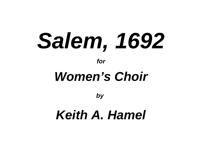# *Salem, 1692 for Women's Choir*

*by* 

### *Keith A. Hamel*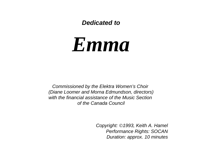### *Dedicated to*

# *Emma*

*Commissioned by the Elektra Women's Choir (Diane Loomer and Morna Edmundson, directors) with the financial assistance of the Music Section of the Canada Council*

> *Copyright: 1993, Keith A. Hamel Performance Rights: SOCAN Duration: approx. 10 minutes*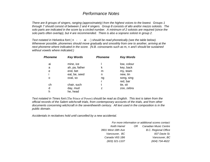#### *Performance Notes*

*There are 8 groups of singers, ranging (approximately) from the highest voices to the lowest. Groups 1 through 7 should consist of between 2 and 4 singers. Group 8 consists of alto and/or mezzo soloists. The solo parts are indicated in the score by a circled number. A minimum of 2 soloists are required (since the solo parts often overlap), but 4 are recommended. There is also a soprano soloist in group 2.* 

*Text notated in Helvetica font* ( $n - 1$  ai -) *should be read phonetically (see the table below)*. *Whenever possible, phonemes should move gradually and smoothly from one to another, arriving at the next phoneme where indicated in the score. (N.B. consonants such as m, n and I should be sustained without vowels where indicated.)* 

| <b>Phoneme</b> | <b>Key Words</b> | <b>Phoneme</b> | <b>Key Words</b> |
|----------------|------------------|----------------|------------------|
|                |                  |                |                  |
| ai             | mine, ice        |                | low, colour      |
| a              | ah, pa, father   | ĸ              | key, back        |
| e              | end, bet         | m              | my, team         |
| i              | eat, be, seed    | n              | new, tin         |
| о              | oval, so         | ng             | song, sing       |
|                |                  | r              | red, bar         |
| ch             | chair, such      |                | tie, sit         |
| d              | day, mud         | z              | zoo, zebra       |
| h              | he, head         |                |                  |

*Text notated in Times font* (The Prince of Power) *should be read as English. This text is taken from the official records of the Salem witchcraft trials, from contemporary accounts of the trials, and from other documents concerning witchcraft in the seventheenth century. All text used in the composition is in the public domain.*

*Accidentals in recitatives hold until cancelled by a new accidental.*

| For more information or additional scores contact: |     |                             |  |  |
|----------------------------------------------------|-----|-----------------------------|--|--|
| Keith Hamel                                        | OR. | Canadian Music Centre       |  |  |
| 3901 West 18th Ave                                 |     | <b>B.C. Regional Office</b> |  |  |
| Vancouver, BC                                      |     | 837 Davie St.               |  |  |
| Canada V6S 1B6                                     |     | Vancouver, BC               |  |  |
| $(603)$ 321-1107                                   |     | (604) 734-4622              |  |  |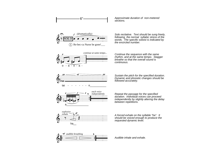

*Approximate duration of non-metered sections.*

*Solo recitative. Text should be sung freely, following the normal syllabic stress of the words. The specific soloist is indicated by* 

*the encircled number.*





*Continue the sequence with the same rhythm, and at the same tempo. Stagger breathe so that the overall sound is continuous.*







*Repeat the passage for the specified duration. Individual voices can proceed independently by slightly altering the delay between repetitions.*



*should be voiced enough to produce the requested dynamic level.*

*A forced exhale on the syllable "ha". It* 



*Audible inhale and exhale.*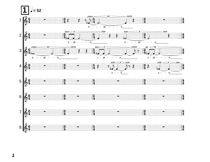

 $\boldsymbol{\mathcal{L}}$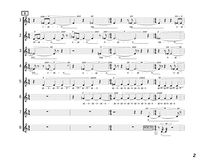

 $\overline{2}$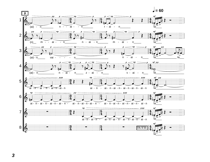

 $\overline{\mathbf{3}}$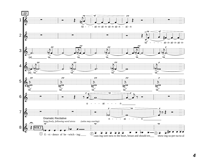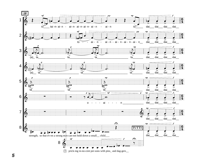

prick-ing in-no-cent per-sons with pins\_ and dag-gers\_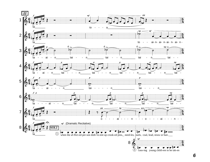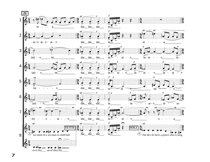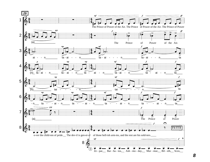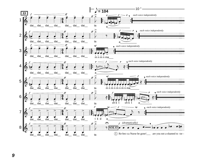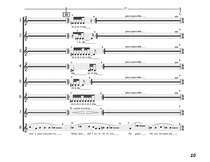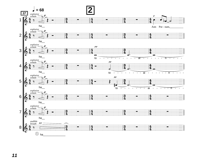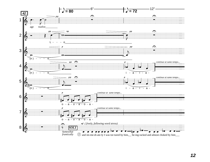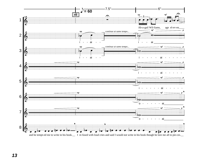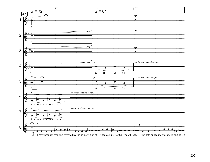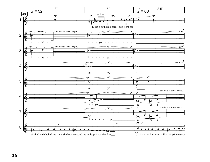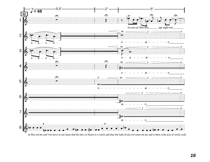

af-flict-ed me and I be-lieve in my heart that Re-bec-ca Nurse is a witch and that she hath of-ten tor-ment-ed me and o-thers with acts of witch-craft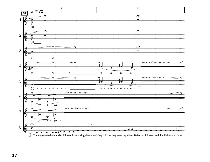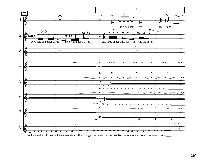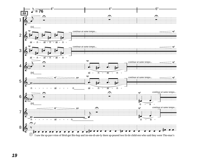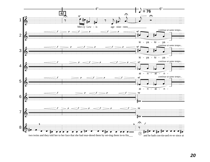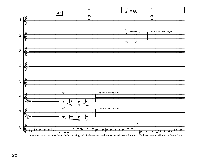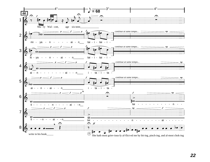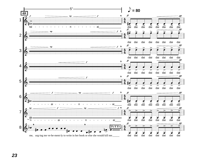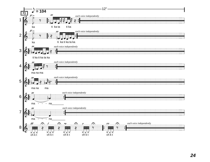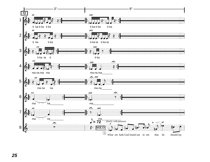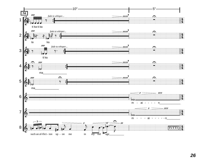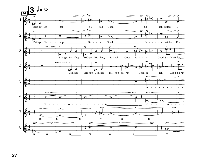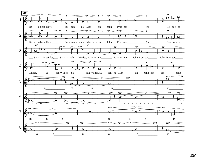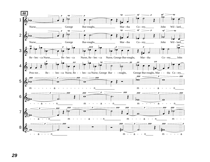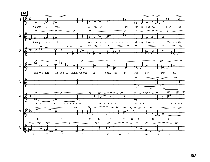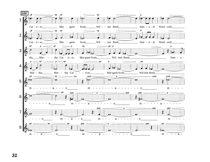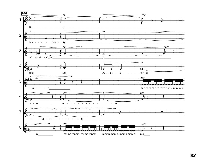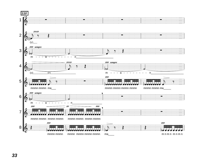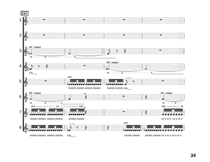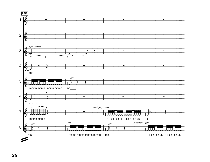